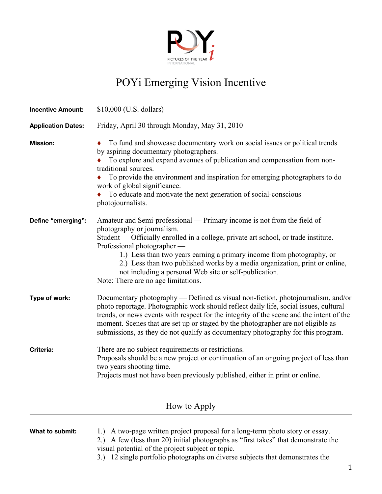

## POYi Emerging Vision Incentive

| <b>Incentive Amount:</b>  | $$10,000$ (U.S. dollars)                                                                                                                                                                                                                                                                                                                                                                                                                                                             |
|---------------------------|--------------------------------------------------------------------------------------------------------------------------------------------------------------------------------------------------------------------------------------------------------------------------------------------------------------------------------------------------------------------------------------------------------------------------------------------------------------------------------------|
| <b>Application Dates:</b> | Friday, April 30 through Monday, May 31, 2010                                                                                                                                                                                                                                                                                                                                                                                                                                        |
| <b>Mission:</b>           | To fund and showcase documentary work on social issues or political trends<br>by aspiring documentary photographers.<br>To explore and expand avenues of publication and compensation from non-<br>traditional sources.<br>To provide the environment and inspiration for emerging photographers to do<br>work of global significance.<br>To educate and motivate the next generation of social-conscious<br>photojournalists.                                                       |
| Define "emerging":        | Amateur and Semi-professional — Primary income is not from the field of<br>photography or journalism.<br>Student — Officially enrolled in a college, private art school, or trade institute.<br>Professional photographer —<br>1.) Less than two years earning a primary income from photography, or<br>2.) Less than two published works by a media organization, print or online,<br>not including a personal Web site or self-publication.<br>Note: There are no age limitations. |
| Type of work:             | Documentary photography — Defined as visual non-fiction, photojournalism, and/or<br>photo reportage. Photographic work should reflect daily life, social issues, cultural<br>trends, or news events with respect for the integrity of the scene and the intent of the<br>moment. Scenes that are set up or staged by the photographer are not eligible as<br>submissions, as they do not qualify as documentary photography for this program.                                        |
| <b>Criteria:</b>          | There are no subject requirements or restrictions.<br>Proposals should be a new project or continuation of an ongoing project of less than<br>two years shooting time.<br>Projects must not have been previously published, either in print or online.                                                                                                                                                                                                                               |
|                           | How to Apply                                                                                                                                                                                                                                                                                                                                                                                                                                                                         |

| What to submit: | 1.) A two-page written project proposal for a long-term photo story or essay.      |
|-----------------|------------------------------------------------------------------------------------|
|                 | 2.) A few (less than 20) initial photographs as "first takes" that demonstrate the |
|                 | visual potential of the project subject or topic.                                  |

3.) 12 single portfolio photographs on diverse subjects that demonstrates the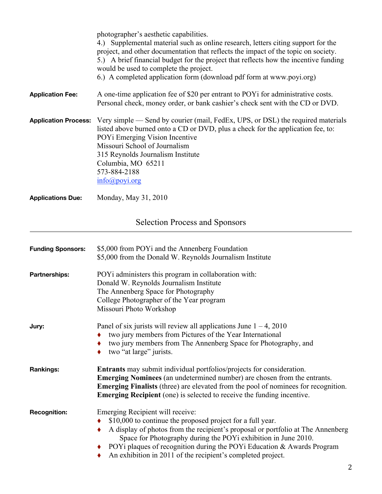|                                       | photographer's aesthetic capabilities.<br>4.) Supplemental material such as online research, letters citing support for the<br>project, and other documentation that reflects the impact of the topic on society.<br>5.) A brief financial budget for the project that reflects how the incentive funding<br>would be used to complete the project.<br>6.) A completed application form (download pdf form at www.poyi.org) |  |
|---------------------------------------|-----------------------------------------------------------------------------------------------------------------------------------------------------------------------------------------------------------------------------------------------------------------------------------------------------------------------------------------------------------------------------------------------------------------------------|--|
| <b>Application Fee:</b>               | A one-time application fee of \$20 per entrant to POY <sub>i</sub> for administrative costs.<br>Personal check, money order, or bank cashier's check sent with the CD or DVD.                                                                                                                                                                                                                                               |  |
| <b>Application Process:</b>           | Very simple — Send by courier (mail, FedEx, UPS, or DSL) the required materials<br>listed above burned onto a CD or DVD, plus a check for the application fee, to:<br>POYi Emerging Vision Incentive<br>Missouri School of Journalism<br>315 Reynolds Journalism Institute<br>Columbia, MO 65211<br>573-884-2188<br>$info(\partial poyi.org)$                                                                               |  |
| <b>Applications Due:</b>              | Monday, May 31, 2010                                                                                                                                                                                                                                                                                                                                                                                                        |  |
| <b>Selection Process and Sponsors</b> |                                                                                                                                                                                                                                                                                                                                                                                                                             |  |

| <b>Funding Sponsors:</b> | \$5,000 from POYi and the Annenberg Foundation<br>\$5,000 from the Donald W. Reynolds Journalism Institute                                                                                                                                                                                                                                                                                                       |
|--------------------------|------------------------------------------------------------------------------------------------------------------------------------------------------------------------------------------------------------------------------------------------------------------------------------------------------------------------------------------------------------------------------------------------------------------|
| <b>Partnerships:</b>     | POYi administers this program in collaboration with:<br>Donald W. Reynolds Journalism Institute<br>The Annenberg Space for Photography<br>College Photographer of the Year program<br>Missouri Photo Workshop                                                                                                                                                                                                    |
| Jury:                    | Panel of six jurists will review all applications June $1 - 4$ , 2010<br>two jury members from Pictures of the Year International<br>٠<br>two jury members from The Annenberg Space for Photography, and<br>٠<br>two "at large" jurists.<br>٠                                                                                                                                                                    |
| <b>Rankings:</b>         | <b>Entrants</b> may submit individual portfolios/projects for consideration.<br><b>Emerging Nominees</b> (an undetermined number) are chosen from the entrants.<br><b>Emerging Finalists</b> (three) are elevated from the pool of nominees for recognition.<br><b>Emerging Recipient</b> (one) is selected to receive the funding incentive.                                                                    |
| <b>Recognition:</b>      | Emerging Recipient will receive:<br>\$10,000 to continue the proposed project for a full year.<br>٠<br>A display of photos from the recipient's proposal or portfolio at The Annenberg<br>٠<br>Space for Photography during the POYi exhibition in June 2010.<br>POYi plaques of recognition during the POYi Education & Awards Program<br>٠<br>An exhibition in 2011 of the recipient's completed project.<br>٠ |